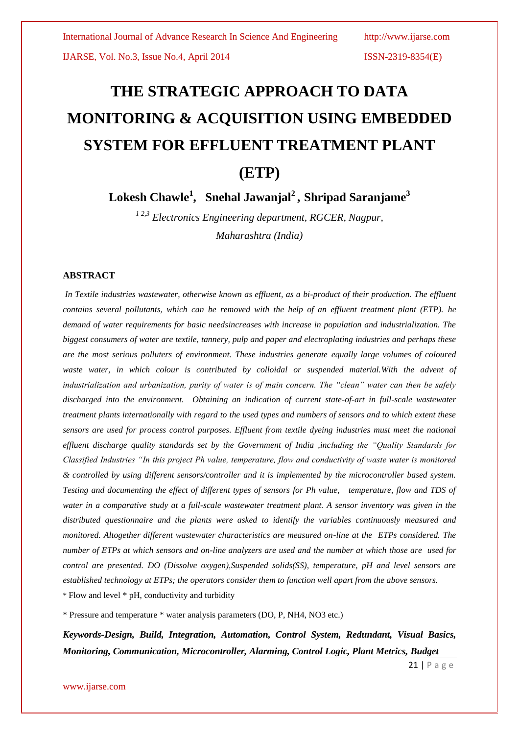IJARSE, Vol. No.3, Issue No.4, April 2014 ISSN-2319-8354(E)

# **THE STRATEGIC APPROACH TO DATA MONITORING & ACQUISITION USING EMBEDDED SYSTEM FOR [EFFLUENT TREATMENT PLANT](http://www.google.co.in/url?sa=t&rct=j&q=&esrc=s&frm=1&source=web&cd=5&cad=rja&ved=0CEMQFjAE&url=http%3A%2F%2Fwww.driplexwater.com%2Fetp.asp&ei=PisXUtOFBc6SrgfJxYGIAQ&usg=AFQjCNHyX-ElQtk6DLqFnPjUV5a0sTP1wQ&sig2=xdlODG4pzI8P7Y4Ji1ce3g&bvm=bv.51156542,d.bmk) (ETP)**

**Lokesh Chawle<sup>1</sup> , Snehal Jawanjal<sup>2</sup> , Shripad Saranjame<sup>3</sup>**

*<sup>1</sup> 2,3 Electronics Engineering department, RGCER, Nagpur, Maharashtra (India)*

#### **ABSTRACT**

*In Textile industries wastewater, otherwise known as effluent, as a bi-product of their production. The effluent contains several pollutants, which can be removed with the help of an effluent treatment plant (ETP). he demand of water requirements for basic needsincreases with increase in population and industrialization. The biggest consumers of water are textile, tannery, pulp and paper and electroplating industries and perhaps these are the most serious polluters of environment. These industries generate equally large volumes of coloured waste water, in which colour is contributed by colloidal or suspended material.With the advent of industrialization and urbanization, purity of water is of main concern. The "clean" water can then be safely discharged into the environment. Obtaining an indication of current state-of-art in full-scale wastewater treatment plants internationally with regard to the used types and numbers of sensors and to which extent these sensors are used for process control purposes. Effluent from textile dyeing industries must meet the national effluent discharge quality standards set by the Government of India ,including the "Quality Standards for Classified Industries "In this project Ph value, temperature, flow and conductivity of waste water is monitored & controlled by using different sensors/controller and it is implemented by the microcontroller based system. Testing and documenting the effect of different types of sensors for Ph value, temperature, flow and TDS of water in a comparative study at a full-scale wastewater treatment plant. A sensor inventory was given in the distributed questionnaire and the plants were asked to identify the variables continuously measured and monitored. Altogether different wastewater characteristics are measured on-line at the ETPs considered. The number of ETPs at which sensors and on-line analyzers are used and the number at which those are used for control are presented. DO (Dissolve oxygen),Suspended solids(SS), temperature, pH and level sensors are established technology at ETPs; the operators consider them to function well apart from the above sensors.* \* Flow and level \* pH, conductivity and turbidity

\* Pressure and temperature \* water analysis parameters (DO, P, NH4, NO3 etc.)

*Keywords-Design, Build, Integration, Automation, Control System, Redundant, Visual Basics, Monitoring, Communication, Microcontroller, Alarming, Control Logic, Plant Metrics, Budget*

21 | P a g e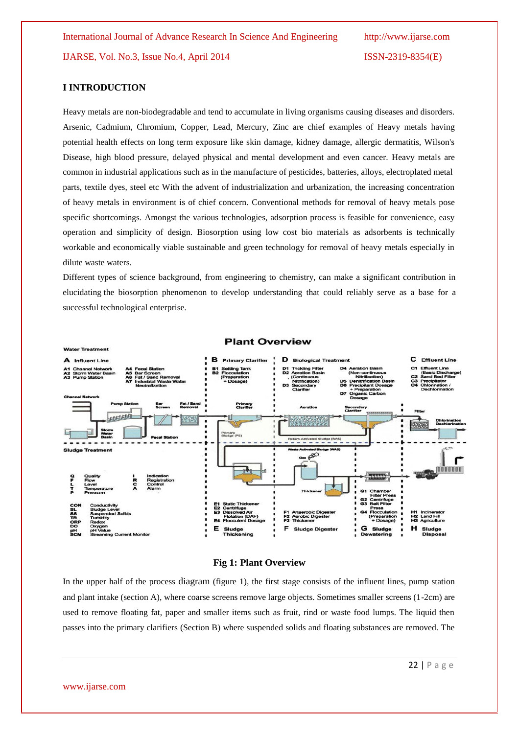#### **I INTRODUCTION**

Heavy metals are non-biodegradable and tend to accumulate in living organisms causing diseases and disorders. [Arsenic,](http://water.epa.gov/drink/contaminants/basicinformation/arsenic.cfm) [Cadmium,](http://water.epa.gov/drink/contaminants/basicinformation/index_cadmium.cfm) [Chromium, Copper,](http://water.epa.gov/drink/contaminants/basicinformation/chromium.cfm) [Lead,](http://water.epa.gov/drink/contaminants/basicinformation/lead.cfm) [Mercury,](http://water.epa.gov/drink/contaminants/basicinformation/mercury.cfm) Zinc are chief examples of Heavy metals having potential health effects on long term exposure like skin damage, kidney damage, allergic dermatitis, Wilson's Disease, high blood pressure, delayed physical and mental development and even cancer. Heavy metals are common in industrial applications such as in the manufacture of pesticides, batteries, alloys, electroplated metal parts, textile dyes, steel etc With the advent of industrialization and urbanization, the increasing concentration of heavy metals in environment is of chief concern. Conventional methods for removal of heavy metals pose specific shortcomings. Amongst the various technologies, adsorption process is feasible for convenience, easy operation and simplicity of design. Biosorption using low cost bio materials as adsorbents is technically workable and economically viable sustainable and green technology for removal of heavy metals especially in dilute waste waters.

Different types of science background, from engineering to chemistry, can make a significant contribution in elucidating the biosorption phenomenon to develop understanding that could reliably serve as a base for a successful technological enterprise.



#### **Fig 1: Plant Overview**

In the upper half of the process diagram (figure 1), the first stage consists of the influent lines, pump station and plant intake (section A), where coarse screens remove large objects. Sometimes smaller screens (1-2cm) are used to remove floating fat, paper and smaller items such as fruit, rind or waste food lumps. The liquid then passes into the primary clarifiers (Section B) where suspended solids and floating substances are removed. The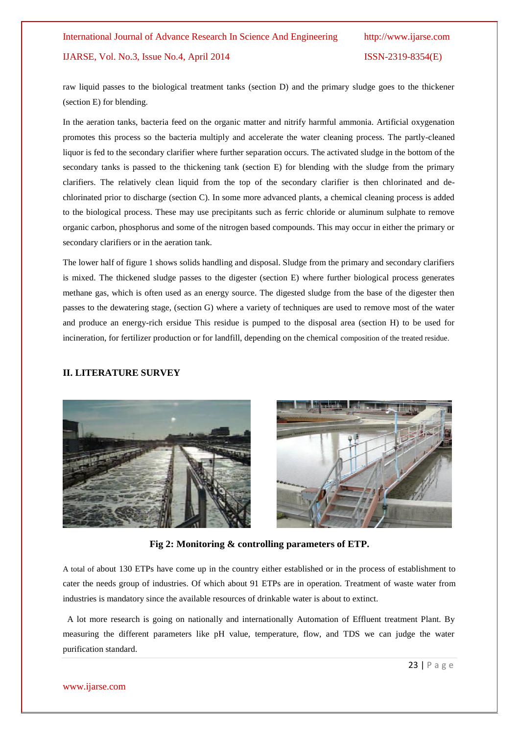# IJARSE, Vol. No.3, Issue No.4, April 2014 ISSN-2319-8354(E)

raw liquid passes to the biological treatment tanks (section D) and the primary sludge goes to the thickener (section E) for blending.

In the aeration tanks, bacteria feed on the organic matter and nitrify harmful ammonia. Artificial oxygenation promotes this process so the bacteria multiply and accelerate the water cleaning process. The partly-cleaned liquor is fed to the secondary clarifier where further separation occurs. The activated sludge in the bottom of the secondary tanks is passed to the thickening tank (section E) for blending with the sludge from the primary clarifiers. The relatively clean liquid from the top of the secondary clarifier is then chlorinated and dechlorinated prior to discharge (section C). In some more advanced plants, a chemical cleaning process is added to the biological process. These may use precipitants such as ferric chloride or aluminum sulphate to remove organic carbon, phosphorus and some of the nitrogen based compounds. This may occur in either the primary or secondary clarifiers or in the aeration tank.

The lower half of figure 1 shows solids handling and disposal. Sludge from the primary and secondary clarifiers is mixed. The thickened sludge passes to the digester (section E) where further biological process generates methane gas, which is often used as an energy source. The digested sludge from the base of the digester then passes to the dewatering stage, (section G) where a variety of techniques are used to remove most of the water and produce an energy-rich ersidue This residue is pumped to the disposal area (section H) to be used for incineration, for fertilizer production or for landfill, depending on the chemical composition of the treated residue.

#### **II. LITERATURE SURVEY**





**Fig 2: Monitoring & controlling parameters of ETP.**

A total of about 130 ETPs have come up in the country either established or in the process of establishment to cater the needs group of industries. Of which about 91 ETPs are in operation. Treatment of waste water from industries is mandatory since the available resources of drinkable water is about to extinct.

 A lot more research is going on nationally and internationally Automation of Effluent treatment Plant. By measuring the different parameters like pH value, temperature, flow, and TDS we can judge the water purification standard.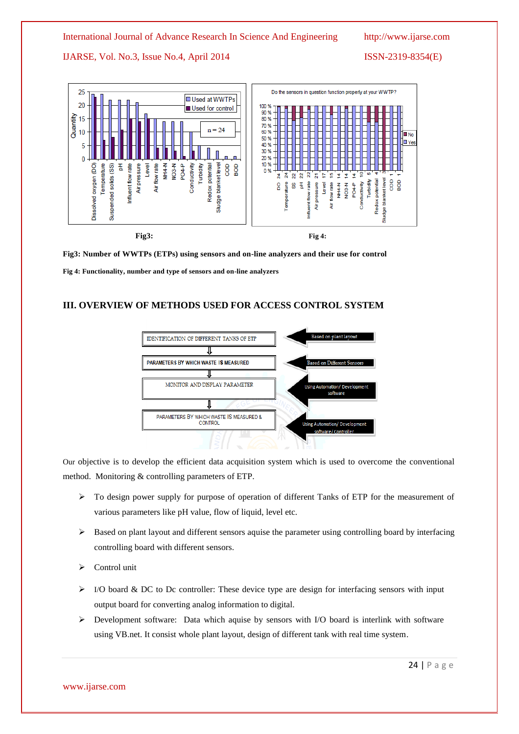# International Journal of Advance Research In Science And Engineering http://www.ijarse.com

# IJARSE, Vol. No.3, Issue No.4, April 2014 ISSN-2319-8354(E)





**Fig3: Number of WWTPs (ETPs) using sensors and on-line analyzers and their use for control**

**Fig 4: Functionality, number and type of sensors and on-line analyzers**

# **III. OVERVIEW OF METHODS USED FOR ACCESS CONTROL SYSTEM**



Our objective is to develop the efficient data acquisition system which is used to overcome the conventional method. Monitoring & controlling parameters of ETP.

- To design power supply for purpose of operation of different Tanks of ETP for the measurement of various parameters like pH value, flow of liquid, level etc.
- $\triangleright$  Based on plant layout and different sensors aquise the parameter using controlling board by interfacing controlling board with different sensors.
- Control unit
- $\triangleright$  I/O board & DC to Dc controller: These device type are design for interfacing sensors with input output board for converting analog information to digital.
- $\triangleright$  Development software: Data which aquise by sensors with I/O board is interlink with software using VB.net. It consist whole plant layout, design of different tank with real time system.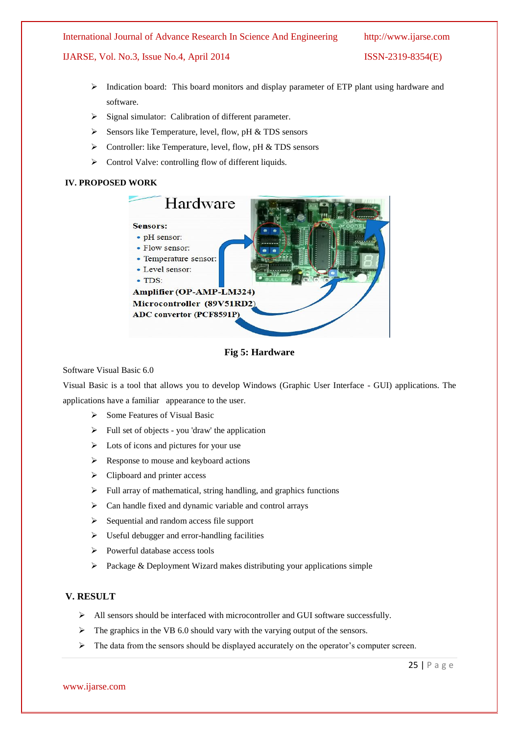International Journal of Advance Research In Science And Engineering http://www.ijarse.com

# IJARSE, Vol. No.3, Issue No.4, April 2014 ISSN-2319-8354(E)

- $\triangleright$  Indication board: This board monitors and display parameter of ETP plant using hardware and software.
- $\triangleright$  Signal simulator: Calibration of different parameter.
- $\triangleright$  Sensors like Temperature, level, flow, pH & TDS sensors
- $\triangleright$  Controller: like Temperature, level, flow, pH & TDS sensors
- > Control Valve: controlling flow of different liquids.

# **IV. PROPOSED WORK**





Software Visual Basic 6.0

Visual Basic is a tool that allows you to develop Windows (Graphic User Interface - GUI) applications. The applications have a familiar appearance to the user.

- $\triangleright$  Some Features of Visual Basic
- $\triangleright$  Full set of objects you 'draw' the application
- $\triangleright$  Lots of icons and pictures for your use
- Response to mouse and keyboard actions
- $\triangleright$  Clipboard and printer access
- $\triangleright$  Full array of mathematical, string handling, and graphics functions
- $\triangleright$  Can handle fixed and dynamic variable and control arrays
- $\triangleright$  Sequential and random access file support
- $\triangleright$  Useful debugger and error-handling facilities
- $\triangleright$  Powerful database access tools
- $\triangleright$  Package & Deployment Wizard makes distributing your applications simple

# **V. RESULT**

- All sensors should be interfaced with microcontroller and GUI software successfully.
- $\triangleright$  The graphics in the VB 6.0 should vary with the varying output of the sensors.
- $\triangleright$  The data from the sensors should be displayed accurately on the operator's computer screen.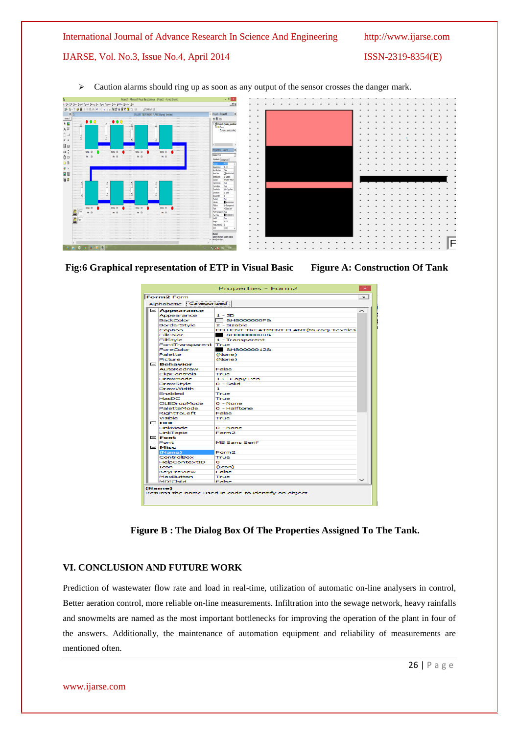#### International Journal of Advance Research In Science And Engineering http://www.ijarse.com

# IJARSE, Vol. No.3, Issue No.4, April 2014 ISSN-2319-8354(E)

> Caution alarms should ring up as soon as any output of the sensor crosses the danger mark.



**Fig:6 Graphical representation of ETP in Visual Basic Figure A: Construction Of Tank**

Properties - Form2  $\mathbf{z}$ Form2 Form  $\overline{\phantom{0}}$ Alphabetic Catego<br>
El Appearance<br>
BackGolor<br>
BorderStyle<br>
BorderStyle<br>
FillColor<br>
FindColor<br>
FindColor<br>
FindColor<br>
Packture<br>
Electron AutoRedraw<br>
Clevelabled<br>
DrawMode<br>
DrawMode<br>
DrawMode<br>
PackDolor<br>
DrawMode<br>
PackteMode<br> Alphabetic [Categorized] ized ||<br>| 1 - 3D<br>| 3 + 18000000F&<br>| 2 - Sizable<br>| EFLUENT TREATMENT PLANT(Murarji Tex<br>| 4 - Transparent<br>| 1 - Transparent<br>| True True<br>| &H80000012&<br>(None)<br>(None) False Faise<br>True<br>13 - Copy Pen<br>0 - Solid 1<br>True<br>To - None<br>0 - Halftone<br>False<br>True Visible<br> **DDE**<br>
LinkMode 0 - None<br>Form2 LinkMode<br>LinkTopic<br>El **Font** MS Sans Serif  $\Box$  Misc Form2<br>True (Name)<br>ControlBox<br>HelpContextID<br>Icon<br>KeyPreview<br>MaxButton<br>MDIChild 0<br>(Icon)<br>False<br>True<br>False (Name)<br>Returns the name used in code to identify an object.

**Figure B : The Dialog Box Of The Properties Assigned To The Tank.**

# **VI. CONCLUSION AND FUTURE WORK**

Prediction of wastewater flow rate and load in real-time, utilization of automatic on-line analysers in control, Better aeration control, more reliable on-line measurements. Infiltration into the sewage network, heavy rainfalls and snowmelts are named as the most important bottlenecks for improving the operation of the plant in four of the answers. Additionally, the maintenance of automation equipment and reliability of measurements are mentioned often.